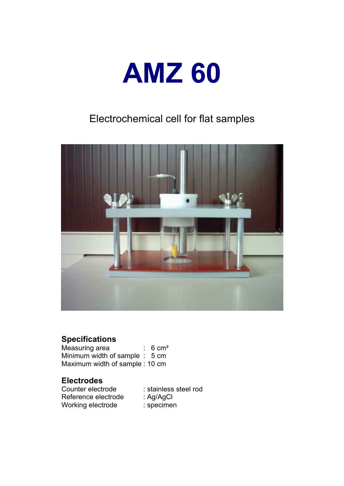

## Electrochemical cell for flat samples



## **Specifications**

Measuring area : 6 cm<sup>2</sup> Minimum width of sample : 5 cm Maximum width of sample : 10 cm

# **Electrodes**

Reference electrode : Ag/AgCl<br>Working electrode : specimen Working electrode

: stainless steel rod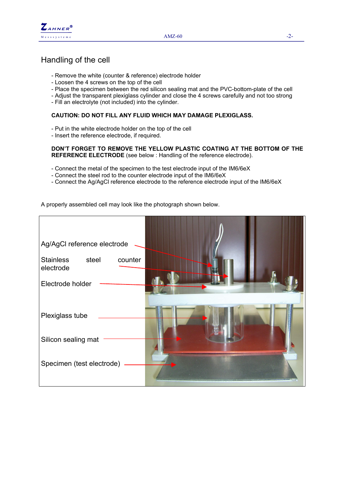

## Handling of the cell

- Remove the white (counter & reference) electrode holder
- Loosen the 4 screws on the top of the cell
- Place the specimen between the red silicon sealing mat and the PVC-bottom-plate of the cell
- Adjust the transparent plexiglass cylinder and close the 4 screws carefully and not too strong
- Fill an electrolyte (not included) into the cylinder.

#### **CAUTION: DO NOT FILL ANY FLUID WHICH MAY DAMAGE PLEXIGLASS.**

- Put in the white electrode holder on the top of the cell
- Insert the reference electrode, if required.

#### **DON'T FORGET TO REMOVE THE YELLOW PLASTIC COATING AT THE BOTTOM OF THE REFERENCE ELECTRODE** (see below : Handling of the reference electrode).

- Connect the metal of the specimen to the test electrode input of the IM6/6eX
- Connect the steel rod to the counter electrode input of the IM6/6eX
- Connect the Ag/AgCl reference electrode to the reference electrode input of the IM6/6eX

A properly assembled cell may look like the photograph shown below.